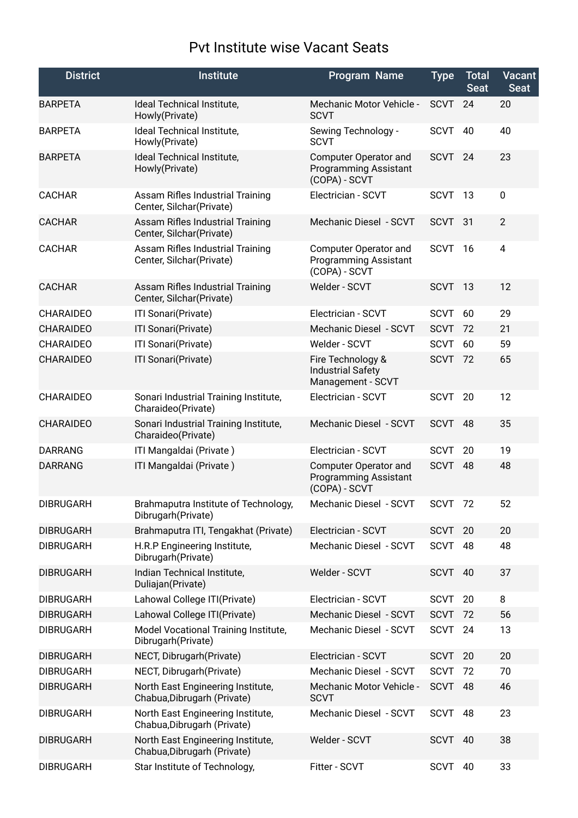## Pvt Institute wise Vacant Seats

| <b>District</b>  | <b>Institute</b>                                                    | <b>Program Name</b>                                                           | <b>Type</b> | <b>Total</b><br><b>Seat</b> | <b>Vacant</b><br><b>Seat</b> |
|------------------|---------------------------------------------------------------------|-------------------------------------------------------------------------------|-------------|-----------------------------|------------------------------|
| <b>BARPETA</b>   | Ideal Technical Institute,<br>Howly(Private)                        | Mechanic Motor Vehicle -<br><b>SCVT</b>                                       | <b>SCVT</b> | 24                          | 20                           |
| <b>BARPETA</b>   | Ideal Technical Institute,<br>Howly(Private)                        | Sewing Technology -<br><b>SCVT</b>                                            | <b>SCVT</b> | 40                          | 40                           |
| <b>BARPETA</b>   | Ideal Technical Institute,<br>Howly(Private)                        | <b>Computer Operator and</b><br><b>Programming Assistant</b><br>(COPA) - SCVT | <b>SCVT</b> | 24                          | 23                           |
| <b>CACHAR</b>    | Assam Rifles Industrial Training<br>Center, Silchar(Private)        | Electrician - SCVT                                                            | <b>SCVT</b> | -13                         | 0                            |
| <b>CACHAR</b>    | <b>Assam Rifles Industrial Training</b><br>Center, Silchar(Private) | Mechanic Diesel - SCVT                                                        | <b>SCVT</b> | 31                          | $\overline{2}$               |
| <b>CACHAR</b>    | <b>Assam Rifles Industrial Training</b><br>Center, Silchar(Private) | Computer Operator and<br><b>Programming Assistant</b><br>(COPA) - SCVT        | <b>SCVT</b> | - 16                        | 4                            |
| <b>CACHAR</b>    | <b>Assam Rifles Industrial Training</b><br>Center, Silchar(Private) | Welder - SCVT                                                                 | SCVT 13     |                             | 12                           |
| <b>CHARAIDEO</b> | ITI Sonari(Private)                                                 | Electrician - SCVT                                                            | <b>SCVT</b> | 60                          | 29                           |
| <b>CHARAIDEO</b> | ITI Sonari(Private)                                                 | Mechanic Diesel - SCVT                                                        | <b>SCVT</b> | 72                          | 21                           |
| <b>CHARAIDEO</b> | ITI Sonari(Private)                                                 | Welder - SCVT                                                                 | <b>SCVT</b> | 60                          | 59                           |
| <b>CHARAIDEO</b> | ITI Sonari(Private)                                                 | Fire Technology &<br><b>Industrial Safety</b><br>Management - SCVT            | <b>SCVT</b> | 72                          | 65                           |
| <b>CHARAIDEO</b> | Sonari Industrial Training Institute,<br>Charaideo(Private)         | Electrician - SCVT                                                            | <b>SCVT</b> | 20                          | 12                           |
| <b>CHARAIDEO</b> | Sonari Industrial Training Institute,<br>Charaideo(Private)         | Mechanic Diesel - SCVT                                                        | SCVT        | 48                          | 35                           |
| <b>DARRANG</b>   | ITI Mangaldai (Private)                                             | Electrician - SCVT                                                            | <b>SCVT</b> | 20                          | 19                           |
| <b>DARRANG</b>   | ITI Mangaldai (Private)                                             | <b>Computer Operator and</b><br><b>Programming Assistant</b><br>(COPA) - SCVT | <b>SCVT</b> | 48                          | 48                           |
| <b>DIBRUGARH</b> | Brahmaputra Institute of Technology,<br>Dibrugarh (Private)         | Mechanic Diesel - SCVT                                                        | SCVT 72     |                             | 52                           |
| <b>DIBRUGARH</b> | Brahmaputra ITI, Tengakhat (Private)                                | Electrician - SCVT                                                            | <b>SCVT</b> | 20                          | 20                           |
| <b>DIBRUGARH</b> | H.R.P Engineering Institute,<br>Dibrugarh(Private)                  | Mechanic Diesel - SCVT                                                        | SCVT        | 48                          | 48                           |
| <b>DIBRUGARH</b> | Indian Technical Institute,<br>Duliajan(Private)                    | Welder - SCVT                                                                 | SCVT        | 40                          | 37                           |
| <b>DIBRUGARH</b> | Lahowal College ITI(Private)                                        | Electrician - SCVT                                                            | <b>SCVT</b> | 20                          | 8                            |
| <b>DIBRUGARH</b> | Lahowal College ITI(Private)                                        | Mechanic Diesel - SCVT                                                        | <b>SCVT</b> | 72                          | 56                           |
| <b>DIBRUGARH</b> | Model Vocational Training Institute,<br>Dibrugarh (Private)         | Mechanic Diesel - SCVT                                                        | SCVT        | 24                          | 13                           |
| <b>DIBRUGARH</b> | NECT, Dibrugarh (Private)                                           | Electrician - SCVT                                                            | <b>SCVT</b> | 20                          | 20                           |
| <b>DIBRUGARH</b> | NECT, Dibrugarh (Private)                                           | Mechanic Diesel - SCVT                                                        | <b>SCVT</b> | 72                          | 70                           |
| <b>DIBRUGARH</b> | North East Engineering Institute,<br>Chabua, Dibrugarh (Private)    | Mechanic Motor Vehicle -<br><b>SCVT</b>                                       | <b>SCVT</b> | 48                          | 46                           |
| <b>DIBRUGARH</b> | North East Engineering Institute,<br>Chabua, Dibrugarh (Private)    | Mechanic Diesel - SCVT                                                        | <b>SCVT</b> | 48                          | 23                           |
| <b>DIBRUGARH</b> | North East Engineering Institute,<br>Chabua, Dibrugarh (Private)    | Welder - SCVT                                                                 | <b>SCVT</b> | 40                          | 38                           |
| <b>DIBRUGARH</b> | Star Institute of Technology,                                       | Fitter - SCVT                                                                 | <b>SCVT</b> | 40                          | 33                           |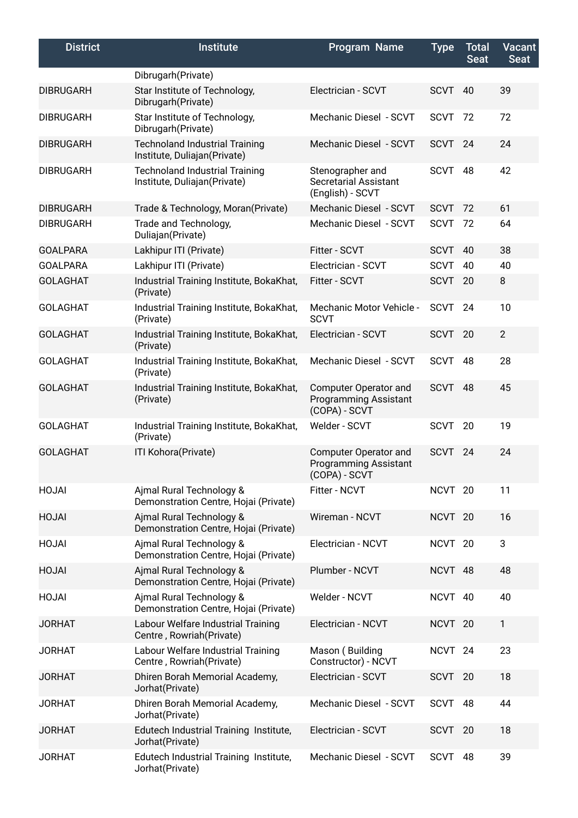| <b>District</b>  | <b>Institute</b>                                                       | <b>Program Name</b>                                                    | <b>Type</b>        | <b>Total</b><br><b>Seat</b> | <b>Vacant</b><br>Seat |
|------------------|------------------------------------------------------------------------|------------------------------------------------------------------------|--------------------|-----------------------------|-----------------------|
|                  | Dibrugarh (Private)                                                    |                                                                        |                    |                             |                       |
| <b>DIBRUGARH</b> | Star Institute of Technology,<br>Dibrugarh (Private)                   | Electrician - SCVT                                                     | <b>SCVT</b>        | 40                          | 39                    |
| <b>DIBRUGARH</b> | Star Institute of Technology,<br>Dibrugarh (Private)                   | Mechanic Diesel - SCVT                                                 | <b>SCVT</b>        | -72                         | 72                    |
| <b>DIBRUGARH</b> | <b>Technoland Industrial Training</b><br>Institute, Duliajan (Private) | Mechanic Diesel - SCVT                                                 | <b>SCVT</b>        | 24                          | 24                    |
| <b>DIBRUGARH</b> | <b>Technoland Industrial Training</b><br>Institute, Duliajan (Private) | Stenographer and<br>Secretarial Assistant<br>(English) - SCVT          | <b>SCVT</b>        | 48                          | 42                    |
| <b>DIBRUGARH</b> | Trade & Technology, Moran(Private)                                     | Mechanic Diesel - SCVT                                                 | <b>SCVT</b>        | 72                          | 61                    |
| <b>DIBRUGARH</b> | Trade and Technology,<br>Duliajan(Private)                             | Mechanic Diesel - SCVT                                                 | <b>SCVT</b>        | - 72                        | 64                    |
| <b>GOALPARA</b>  | Lakhipur ITI (Private)                                                 | Fitter - SCVT                                                          | <b>SCVT</b>        | 40                          | 38                    |
| <b>GOALPARA</b>  | Lakhipur ITI (Private)                                                 | Electrician - SCVT                                                     | <b>SCVT</b>        | 40                          | 40                    |
| <b>GOLAGHAT</b>  | Industrial Training Institute, BokaKhat,<br>(Private)                  | Fitter - SCVT                                                          | <b>SCVT</b>        | 20                          | 8                     |
| <b>GOLAGHAT</b>  | Industrial Training Institute, BokaKhat,<br>(Private)                  | Mechanic Motor Vehicle -<br><b>SCVT</b>                                | <b>SCVT</b>        | 24                          | 10                    |
| <b>GOLAGHAT</b>  | Industrial Training Institute, BokaKhat,<br>(Private)                  | Electrician - SCVT                                                     | <b>SCVT</b>        | 20                          | $\overline{2}$        |
| <b>GOLAGHAT</b>  | Industrial Training Institute, BokaKhat,<br>(Private)                  | Mechanic Diesel - SCVT                                                 | <b>SCVT</b>        | 48                          | 28                    |
| <b>GOLAGHAT</b>  | Industrial Training Institute, BokaKhat,<br>(Private)                  | Computer Operator and<br><b>Programming Assistant</b><br>(COPA) - SCVT | <b>SCVT</b>        | 48                          | 45                    |
| <b>GOLAGHAT</b>  | Industrial Training Institute, BokaKhat,<br>(Private)                  | Welder - SCVT                                                          | <b>SCVT</b>        | 20                          | 19                    |
| <b>GOLAGHAT</b>  | ITI Kohora(Private)                                                    | Computer Operator and<br><b>Programming Assistant</b><br>(COPA) - SCVT | <b>SCVT</b>        | 24                          | 24                    |
| HOJAI            | Ajmal Rural Technology &<br>Demonstration Centre, Hojai (Private)      | Fitter - NCVT                                                          | NCVT 20            |                             | 11                    |
| HOJAI            | Ajmal Rural Technology &<br>Demonstration Centre, Hojai (Private)      | Wireman - NCVT                                                         | NCVT <sub>20</sub> |                             | 16                    |
| HOJAI            | Ajmal Rural Technology &<br>Demonstration Centre, Hojai (Private)      | Electrician - NCVT                                                     | NCVT <sub>20</sub> |                             | 3                     |
| HOJAI            | Ajmal Rural Technology &<br>Demonstration Centre, Hojai (Private)      | Plumber - NCVT                                                         | NCVT 48            |                             | 48                    |
| HOJAI            | Ajmal Rural Technology &<br>Demonstration Centre, Hojai (Private)      | Welder - NCVT                                                          | NCVT 40            |                             | 40                    |
| <b>JORHAT</b>    | Labour Welfare Industrial Training<br>Centre, Rowriah (Private)        | Electrician - NCVT                                                     | NCVT <sub>20</sub> |                             | 1                     |
| <b>JORHAT</b>    | Labour Welfare Industrial Training<br>Centre, Rowriah (Private)        | Mason (Building<br>Constructor) - NCVT                                 | NCVT <sub>24</sub> |                             | 23                    |
| <b>JORHAT</b>    | Dhiren Borah Memorial Academy,<br>Jorhat(Private)                      | Electrician - SCVT                                                     | <b>SCVT</b>        | 20                          | 18                    |
| <b>JORHAT</b>    | Dhiren Borah Memorial Academy,<br>Jorhat(Private)                      | Mechanic Diesel - SCVT                                                 | <b>SCVT</b>        | 48                          | 44                    |
| <b>JORHAT</b>    | Edutech Industrial Training Institute,<br>Jorhat(Private)              | Electrician - SCVT                                                     | SCVT               | 20                          | 18                    |
| <b>JORHAT</b>    | Edutech Industrial Training Institute,<br>Jorhat(Private)              | Mechanic Diesel - SCVT                                                 | SCVT               | 48                          | 39                    |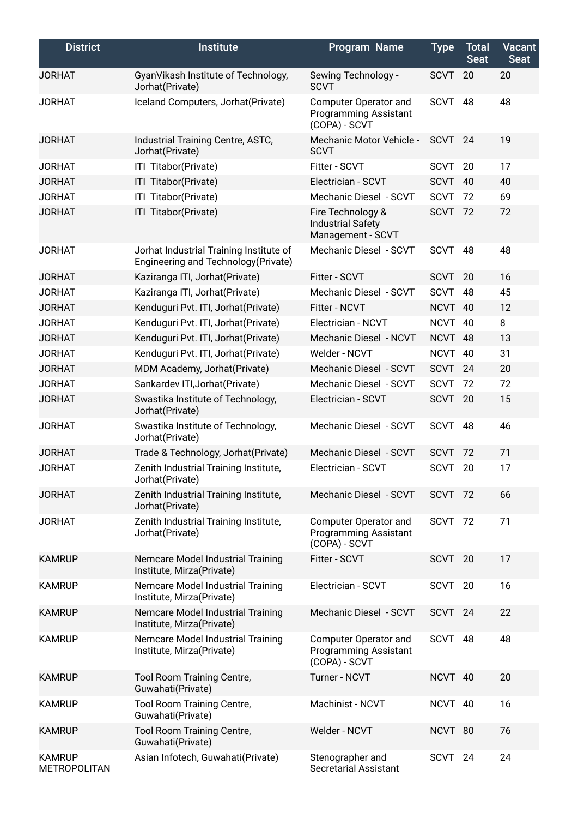| <b>District</b>                      | <b>Institute</b>                                                               | <b>Program Name</b>                                                    | <b>Type</b> | <b>Total</b><br><b>Seat</b> | <b>Vacant</b><br><b>Seat</b> |
|--------------------------------------|--------------------------------------------------------------------------------|------------------------------------------------------------------------|-------------|-----------------------------|------------------------------|
| <b>JORHAT</b>                        | GyanVikash Institute of Technology,<br>Jorhat(Private)                         | Sewing Technology -<br><b>SCVT</b>                                     | <b>SCVT</b> | 20                          | 20                           |
| <b>JORHAT</b>                        | Iceland Computers, Jorhat(Private)                                             | Computer Operator and<br><b>Programming Assistant</b><br>(COPA) - SCVT | <b>SCVT</b> | 48                          | 48                           |
| <b>JORHAT</b>                        | Industrial Training Centre, ASTC,<br>Jorhat(Private)                           | Mechanic Motor Vehicle -<br><b>SCVT</b>                                | <b>SCVT</b> | 24                          | 19                           |
| <b>JORHAT</b>                        | ITI Titabor(Private)                                                           | Fitter - SCVT                                                          | <b>SCVT</b> | 20                          | 17                           |
| <b>JORHAT</b>                        | ITI Titabor(Private)                                                           | Electrician - SCVT                                                     | <b>SCVT</b> | 40                          | 40                           |
| <b>JORHAT</b>                        | ITI Titabor(Private)                                                           | Mechanic Diesel - SCVT                                                 | <b>SCVT</b> | 72                          | 69                           |
| <b>JORHAT</b>                        | ITI Titabor(Private)                                                           | Fire Technology &<br><b>Industrial Safety</b><br>Management - SCVT     | <b>SCVT</b> | 72                          | 72                           |
| <b>JORHAT</b>                        | Jorhat Industrial Training Institute of<br>Engineering and Technology(Private) | Mechanic Diesel - SCVT                                                 | <b>SCVT</b> | 48                          | 48                           |
| <b>JORHAT</b>                        | Kaziranga ITI, Jorhat (Private)                                                | Fitter - SCVT                                                          | <b>SCVT</b> | 20                          | 16                           |
| <b>JORHAT</b>                        | Kaziranga ITI, Jorhat (Private)                                                | Mechanic Diesel - SCVT                                                 | <b>SCVT</b> | 48                          | 45                           |
| <b>JORHAT</b>                        | Kenduguri Pvt. ITI, Jorhat(Private)                                            | Fitter - NCVT                                                          | <b>NCVT</b> | 40                          | 12                           |
| <b>JORHAT</b>                        | Kenduguri Pvt. ITI, Jorhat(Private)                                            | Electrician - NCVT                                                     | <b>NCVT</b> | 40                          | 8                            |
| <b>JORHAT</b>                        | Kenduguri Pvt. ITI, Jorhat(Private)                                            | Mechanic Diesel - NCVT                                                 | <b>NCVT</b> | -48                         | 13                           |
| <b>JORHAT</b>                        | Kenduguri Pvt. ITI, Jorhat(Private)                                            | Welder - NCVT                                                          | <b>NCVT</b> | 40                          | 31                           |
| <b>JORHAT</b>                        | MDM Academy, Jorhat(Private)                                                   | Mechanic Diesel - SCVT                                                 | <b>SCVT</b> | 24                          | 20                           |
| <b>JORHAT</b>                        | Sankardev ITI, Jorhat (Private)                                                | Mechanic Diesel - SCVT                                                 | <b>SCVT</b> | 72                          | 72                           |
| <b>JORHAT</b>                        | Swastika Institute of Technology,<br>Jorhat(Private)                           | Electrician - SCVT                                                     | <b>SCVT</b> | 20                          | 15                           |
| <b>JORHAT</b>                        | Swastika Institute of Technology,<br>Jorhat(Private)                           | Mechanic Diesel - SCVT                                                 | <b>SCVT</b> | 48                          | 46                           |
| <b>JORHAT</b>                        | Trade & Technology, Jorhat(Private)                                            | Mechanic Diesel - SCVT                                                 | <b>SCVT</b> | 72                          | 71                           |
| <b>JORHAT</b>                        | Zenith Industrial Training Institute,<br>Jorhat(Private)                       | Electrician - SCVT                                                     | <b>SCVT</b> | 20                          | 17                           |
| <b>JORHAT</b>                        | Zenith Industrial Training Institute,<br>Jorhat(Private)                       | Mechanic Diesel - SCVT                                                 | SCVT 72     |                             | 66                           |
| <b>JORHAT</b>                        | Zenith Industrial Training Institute,<br>Jorhat(Private)                       | Computer Operator and<br><b>Programming Assistant</b><br>(COPA) - SCVT | SCVT 72     |                             | 71                           |
| <b>KAMRUP</b>                        | Nemcare Model Industrial Training<br>Institute, Mirza(Private)                 | Fitter - SCVT                                                          | SCVT        | 20                          | 17                           |
| <b>KAMRUP</b>                        | Nemcare Model Industrial Training<br>Institute, Mirza(Private)                 | Electrician - SCVT                                                     | <b>SCVT</b> | 20                          | 16                           |
| <b>KAMRUP</b>                        | Nemcare Model Industrial Training<br>Institute, Mirza(Private)                 | Mechanic Diesel - SCVT                                                 | <b>SCVT</b> | 24                          | 22                           |
| <b>KAMRUP</b>                        | Nemcare Model Industrial Training<br>Institute, Mirza(Private)                 | Computer Operator and<br><b>Programming Assistant</b><br>(COPA) - SCVT | <b>SCVT</b> | 48                          | 48                           |
| <b>KAMRUP</b>                        | Tool Room Training Centre,<br>Guwahati(Private)                                | Turner - NCVT                                                          | NCVT 40     |                             | 20                           |
| <b>KAMRUP</b>                        | <b>Tool Room Training Centre,</b><br>Guwahati(Private)                         | Machinist - NCVT                                                       | NCVT 40     |                             | 16                           |
| <b>KAMRUP</b>                        | Tool Room Training Centre,<br>Guwahati(Private)                                | Welder - NCVT                                                          | NCVT 80     |                             | 76                           |
| <b>KAMRUP</b><br><b>METROPOLITAN</b> | Asian Infotech, Guwahati(Private)                                              | Stenographer and<br><b>Secretarial Assistant</b>                       | SCVT        | 24                          | 24                           |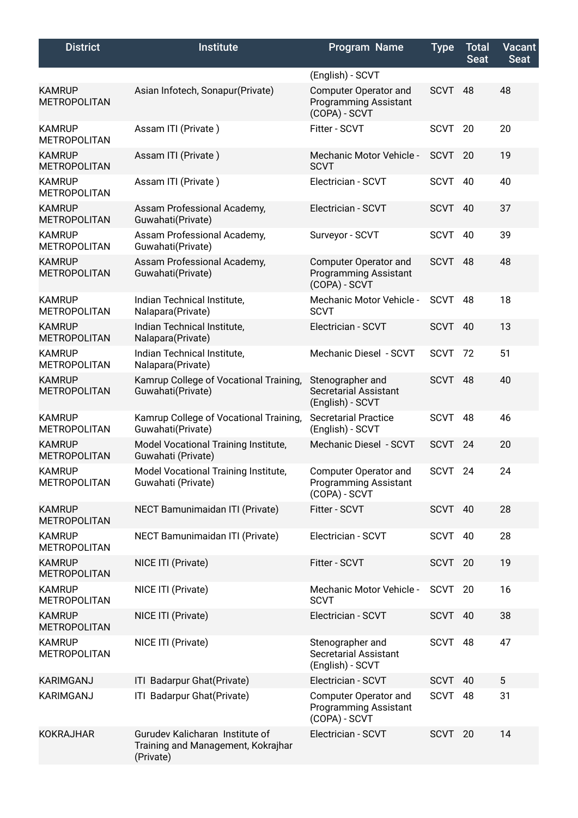| <b>District</b>                      | <b>Institute</b>                                                                   | Program Name                                                                               | <b>Type</b> | Total<br><b>Seat</b> | <b>Vacant</b><br>Seat |
|--------------------------------------|------------------------------------------------------------------------------------|--------------------------------------------------------------------------------------------|-------------|----------------------|-----------------------|
| <b>KAMRUP</b><br><b>METROPOLITAN</b> | Asian Infotech, Sonapur(Private)                                                   | (English) - SCVT<br>Computer Operator and<br><b>Programming Assistant</b><br>(COPA) - SCVT | <b>SCVT</b> | 48                   | 48                    |
| <b>KAMRUP</b><br><b>METROPOLITAN</b> | Assam ITI (Private)                                                                | Fitter - SCVT                                                                              | <b>SCVT</b> | 20                   | 20                    |
| <b>KAMRUP</b><br><b>METROPOLITAN</b> | Assam ITI (Private)                                                                | <b>Mechanic Motor Vehicle -</b><br><b>SCVT</b>                                             | <b>SCVT</b> | 20                   | 19                    |
| <b>KAMRUP</b><br><b>METROPOLITAN</b> | Assam ITI (Private)                                                                | Electrician - SCVT                                                                         | <b>SCVT</b> | 40                   | 40                    |
| <b>KAMRUP</b><br><b>METROPOLITAN</b> | Assam Professional Academy,<br>Guwahati(Private)                                   | Electrician - SCVT                                                                         | <b>SCVT</b> | 40                   | 37                    |
| <b>KAMRUP</b><br><b>METROPOLITAN</b> | Assam Professional Academy,<br>Guwahati(Private)                                   | Surveyor - SCVT                                                                            | SCVT        | 40                   | 39                    |
| <b>KAMRUP</b><br><b>METROPOLITAN</b> | Assam Professional Academy,<br>Guwahati(Private)                                   | <b>Computer Operator and</b><br><b>Programming Assistant</b><br>(COPA) - SCVT              | SCVT        | 48                   | 48                    |
| <b>KAMRUP</b><br><b>METROPOLITAN</b> | Indian Technical Institute,<br>Nalapara(Private)                                   | Mechanic Motor Vehicle -<br><b>SCVT</b>                                                    | <b>SCVT</b> | 48                   | 18                    |
| <b>KAMRUP</b><br><b>METROPOLITAN</b> | Indian Technical Institute,<br>Nalapara(Private)                                   | Electrician - SCVT                                                                         | SCVT        | 40                   | 13                    |
| <b>KAMRUP</b><br><b>METROPOLITAN</b> | Indian Technical Institute,<br>Nalapara(Private)                                   | Mechanic Diesel - SCVT                                                                     | SCVT 72     |                      | 51                    |
| <b>KAMRUP</b><br><b>METROPOLITAN</b> | Kamrup College of Vocational Training,<br>Guwahati(Private)                        | Stenographer and<br><b>Secretarial Assistant</b><br>(English) - SCVT                       | <b>SCVT</b> | 48                   | 40                    |
| <b>KAMRUP</b><br><b>METROPOLITAN</b> | Kamrup College of Vocational Training,<br>Guwahati(Private)                        | <b>Secretarial Practice</b><br>(English) - SCVT                                            | <b>SCVT</b> | 48                   | 46                    |
| <b>KAMRUP</b><br><b>METROPOLITAN</b> | Model Vocational Training Institute,<br>Guwahati (Private)                         | Mechanic Diesel - SCVT                                                                     | <b>SCVT</b> | 24                   | 20                    |
| <b>KAMRUP</b><br><b>METROPOLITAN</b> | Model Vocational Training Institute,<br>Guwahati (Private)                         | <b>Computer Operator and</b><br><b>Programming Assistant</b><br>(COPA) - SCVT              | SCVT        | 24                   | 24                    |
| <b>KAMRUP</b><br><b>METROPOLITAN</b> | NECT Bamunimaidan ITI (Private)                                                    | Fitter - SCVT                                                                              | SCVT 40     |                      | 28                    |
| <b>KAMRUP</b><br><b>METROPOLITAN</b> | NECT Bamunimaidan ITI (Private)                                                    | Electrician - SCVT                                                                         | SCVT 40     |                      | 28                    |
| <b>KAMRUP</b><br><b>METROPOLITAN</b> | NICE ITI (Private)                                                                 | Fitter - SCVT                                                                              | SCVT 20     |                      | 19                    |
| <b>KAMRUP</b><br><b>METROPOLITAN</b> | NICE ITI (Private)                                                                 | Mechanic Motor Vehicle -<br><b>SCVT</b>                                                    | SCVT        | 20                   | 16                    |
| <b>KAMRUP</b><br><b>METROPOLITAN</b> | NICE ITI (Private)                                                                 | Electrician - SCVT                                                                         | <b>SCVT</b> | - 40                 | 38                    |
| <b>KAMRUP</b><br><b>METROPOLITAN</b> | NICE ITI (Private)                                                                 | Stenographer and<br>Secretarial Assistant<br>(English) - SCVT                              | SCVT        | 48                   | 47                    |
| <b>KARIMGANJ</b>                     | ITI Badarpur Ghat(Private)                                                         | Electrician - SCVT                                                                         | <b>SCVT</b> | 40                   | 5                     |
| KARIMGANJ                            | ITI Badarpur Ghat(Private)                                                         | Computer Operator and<br><b>Programming Assistant</b><br>(COPA) - SCVT                     | SCVT 48     |                      | 31                    |
| <b>KOKRAJHAR</b>                     | Gurudev Kalicharan Institute of<br>Training and Management, Kokrajhar<br>(Private) | Electrician - SCVT                                                                         | SCVT 20     |                      | 14                    |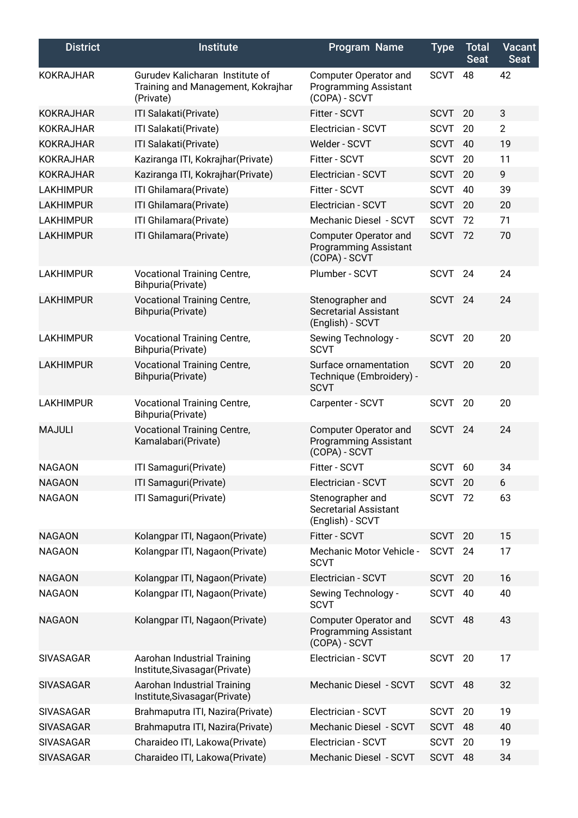| <b>District</b>  | <b>Institute</b>                                                                   | <b>Program Name</b>                                                           | <b>Type</b> | <b>Total</b><br><b>Seat</b> | <b>Vacant</b><br><b>Seat</b> |
|------------------|------------------------------------------------------------------------------------|-------------------------------------------------------------------------------|-------------|-----------------------------|------------------------------|
| <b>KOKRAJHAR</b> | Gurudev Kalicharan Institute of<br>Training and Management, Kokrajhar<br>(Private) | Computer Operator and<br><b>Programming Assistant</b><br>(COPA) - SCVT        | <b>SCVT</b> | 48                          | 42                           |
| <b>KOKRAJHAR</b> | ITI Salakati(Private)                                                              | Fitter - SCVT                                                                 | <b>SCVT</b> | 20                          | $\mathbf{3}$                 |
| <b>KOKRAJHAR</b> | ITI Salakati(Private)                                                              | Electrician - SCVT                                                            | <b>SCVT</b> | 20                          | $\overline{2}$               |
| <b>KOKRAJHAR</b> | ITI Salakati(Private)                                                              | Welder - SCVT                                                                 | <b>SCVT</b> | 40                          | 19                           |
| <b>KOKRAJHAR</b> | Kaziranga ITI, Kokrajhar(Private)                                                  | Fitter - SCVT                                                                 | <b>SCVT</b> | 20                          | 11                           |
| <b>KOKRAJHAR</b> | Kaziranga ITI, Kokrajhar(Private)                                                  | Electrician - SCVT                                                            | <b>SCVT</b> | 20                          | 9                            |
| <b>LAKHIMPUR</b> | ITI Ghilamara(Private)                                                             | Fitter - SCVT                                                                 | <b>SCVT</b> | 40                          | 39                           |
| <b>LAKHIMPUR</b> | ITI Ghilamara(Private)                                                             | Electrician - SCVT                                                            | <b>SCVT</b> | 20                          | 20                           |
| <b>LAKHIMPUR</b> | ITI Ghilamara(Private)                                                             | Mechanic Diesel - SCVT                                                        | <b>SCVT</b> | 72                          | 71                           |
| <b>LAKHIMPUR</b> | ITI Ghilamara(Private)                                                             | Computer Operator and<br><b>Programming Assistant</b><br>(COPA) - SCVT        | <b>SCVT</b> | 72                          | 70                           |
| <b>LAKHIMPUR</b> | <b>Vocational Training Centre,</b><br>Bihpuria(Private)                            | Plumber - SCVT                                                                | <b>SCVT</b> | 24                          | 24                           |
| <b>LAKHIMPUR</b> | <b>Vocational Training Centre,</b><br>Bihpuria(Private)                            | Stenographer and<br><b>Secretarial Assistant</b><br>(English) - SCVT          | <b>SCVT</b> | 24                          | 24                           |
| <b>LAKHIMPUR</b> | <b>Vocational Training Centre,</b><br>Bihpuria(Private)                            | Sewing Technology -<br><b>SCVT</b>                                            | <b>SCVT</b> | 20                          | 20                           |
| <b>LAKHIMPUR</b> | <b>Vocational Training Centre,</b><br>Bihpuria(Private)                            | Surface ornamentation<br>Technique (Embroidery) -<br><b>SCVT</b>              | <b>SCVT</b> | 20                          | 20                           |
| <b>LAKHIMPUR</b> | <b>Vocational Training Centre,</b><br>Bihpuria(Private)                            | Carpenter - SCVT                                                              | <b>SCVT</b> | 20                          | 20                           |
| <b>MAJULI</b>    | <b>Vocational Training Centre,</b><br>Kamalabari(Private)                          | <b>Computer Operator and</b><br><b>Programming Assistant</b><br>(COPA) - SCVT | <b>SCVT</b> | 24                          | 24                           |
| <b>NAGAON</b>    | ITI Samaguri(Private)                                                              | Fitter - SCVT                                                                 | <b>SCVT</b> | 60                          | 34                           |
| <b>NAGAON</b>    | ITI Samaguri(Private)                                                              | Electrician - SCVT                                                            | SCVT        | 20                          | 6                            |
| <b>NAGAON</b>    | ITI Samaguri(Private)                                                              | Stenographer and<br><b>Secretarial Assistant</b><br>(English) - SCVT          | <b>SCVT</b> | 72                          | 63                           |
| <b>NAGAON</b>    | Kolangpar ITI, Nagaon(Private)                                                     | Fitter - SCVT                                                                 | <b>SCVT</b> | 20                          | 15                           |
| <b>NAGAON</b>    | Kolangpar ITI, Nagaon(Private)                                                     | Mechanic Motor Vehicle -<br><b>SCVT</b>                                       | <b>SCVT</b> | 24                          | 17                           |
| <b>NAGAON</b>    | Kolangpar ITI, Nagaon(Private)                                                     | Electrician - SCVT                                                            | <b>SCVT</b> | 20                          | 16                           |
| <b>NAGAON</b>    | Kolangpar ITI, Nagaon(Private)                                                     | Sewing Technology -<br><b>SCVT</b>                                            | SCVT        | 40                          | 40                           |
| <b>NAGAON</b>    | Kolangpar ITI, Nagaon(Private)                                                     | <b>Computer Operator and</b><br><b>Programming Assistant</b><br>(COPA) - SCVT | <b>SCVT</b> | 48                          | 43                           |
| <b>SIVASAGAR</b> | Aarohan Industrial Training<br>Institute, Sivasagar (Private)                      | Electrician - SCVT                                                            | <b>SCVT</b> | 20                          | 17                           |
| <b>SIVASAGAR</b> | Aarohan Industrial Training<br>Institute, Sivasagar (Private)                      | Mechanic Diesel - SCVT                                                        | <b>SCVT</b> | 48                          | 32                           |
| <b>SIVASAGAR</b> | Brahmaputra ITI, Nazira(Private)                                                   | Electrician - SCVT                                                            | <b>SCVT</b> | 20                          | 19                           |
| <b>SIVASAGAR</b> | Brahmaputra ITI, Nazira(Private)                                                   | Mechanic Diesel - SCVT                                                        | <b>SCVT</b> | 48                          | 40                           |
| SIVASAGAR        | Charaideo ITI, Lakowa(Private)                                                     | Electrician - SCVT                                                            | <b>SCVT</b> | 20                          | 19                           |
| <b>SIVASAGAR</b> | Charaideo ITI, Lakowa(Private)                                                     | Mechanic Diesel - SCVT                                                        | <b>SCVT</b> | 48                          | 34                           |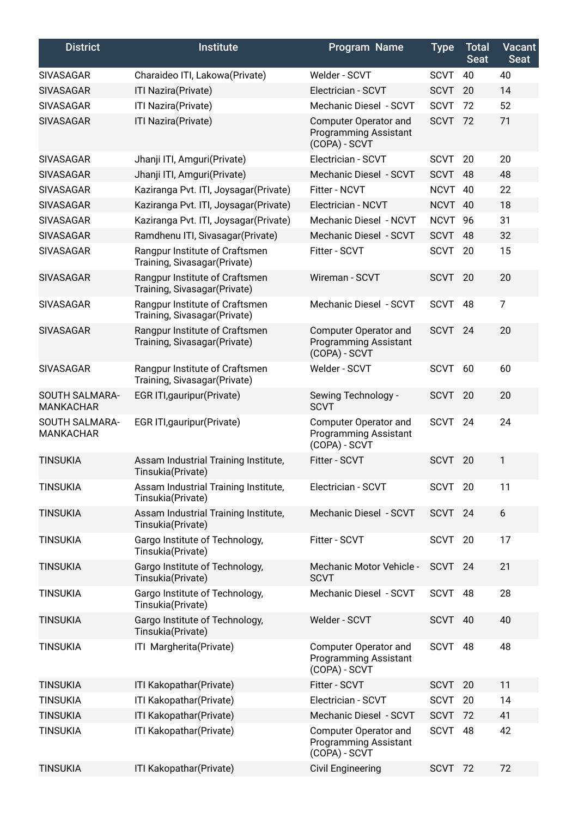| <b>District</b>                    | <b>Institute</b>                                                | <b>Program Name</b>                                                    | <b>Type</b> | <b>Total</b><br><b>Seat</b> | <b>Vacant</b><br><b>Seat</b> |
|------------------------------------|-----------------------------------------------------------------|------------------------------------------------------------------------|-------------|-----------------------------|------------------------------|
| <b>SIVASAGAR</b>                   | Charaideo ITI, Lakowa(Private)                                  | Welder - SCVT                                                          | <b>SCVT</b> | 40                          | 40                           |
| <b>SIVASAGAR</b>                   | ITI Nazira(Private)                                             | Electrician - SCVT                                                     | <b>SCVT</b> | 20                          | 14                           |
| <b>SIVASAGAR</b>                   | ITI Nazira(Private)                                             | Mechanic Diesel - SCVT                                                 | <b>SCVT</b> | 72                          | 52                           |
| <b>SIVASAGAR</b>                   | ITI Nazira(Private)                                             | Computer Operator and<br><b>Programming Assistant</b><br>(COPA) - SCVT | <b>SCVT</b> | 72                          | 71                           |
| <b>SIVASAGAR</b>                   | Jhanji ITI, Amguri(Private)                                     | Electrician - SCVT                                                     | <b>SCVT</b> | 20                          | 20                           |
| <b>SIVASAGAR</b>                   | Jhanji ITI, Amguri(Private)                                     | Mechanic Diesel - SCVT                                                 | <b>SCVT</b> | 48                          | 48                           |
| <b>SIVASAGAR</b>                   | Kaziranga Pvt. ITI, Joysagar(Private)                           | Fitter - NCVT                                                          | <b>NCVT</b> | 40                          | 22                           |
| <b>SIVASAGAR</b>                   | Kaziranga Pvt. ITI, Joysagar(Private)                           | Electrician - NCVT                                                     | <b>NCVT</b> | -40                         | 18                           |
| <b>SIVASAGAR</b>                   | Kaziranga Pvt. ITI, Joysagar(Private)                           | Mechanic Diesel - NCVT                                                 | <b>NCVT</b> | 96                          | 31                           |
| <b>SIVASAGAR</b>                   | Ramdhenu ITI, Sivasagar(Private)                                | Mechanic Diesel - SCVT                                                 | <b>SCVT</b> | 48                          | 32                           |
| <b>SIVASAGAR</b>                   | Rangpur Institute of Craftsmen<br>Training, Sivasagar(Private)  | Fitter - SCVT                                                          | <b>SCVT</b> | 20                          | 15                           |
| <b>SIVASAGAR</b>                   | Rangpur Institute of Craftsmen<br>Training, Sivasagar (Private) | Wireman - SCVT                                                         | <b>SCVT</b> | 20                          | 20                           |
| <b>SIVASAGAR</b>                   | Rangpur Institute of Craftsmen<br>Training, Sivasagar (Private) | Mechanic Diesel - SCVT                                                 | <b>SCVT</b> | 48                          | $\overline{7}$               |
| <b>SIVASAGAR</b>                   | Rangpur Institute of Craftsmen<br>Training, Sivasagar (Private) | Computer Operator and<br><b>Programming Assistant</b><br>(COPA) - SCVT | SCVT        | 24                          | 20                           |
| <b>SIVASAGAR</b>                   | Rangpur Institute of Craftsmen<br>Training, Sivasagar (Private) | Welder - SCVT                                                          | <b>SCVT</b> | 60                          | 60                           |
| SOUTH SALMARA-<br><b>MANKACHAR</b> | EGR ITI, gauripur (Private)                                     | Sewing Technology -<br><b>SCVT</b>                                     | SCVT        | 20                          | 20                           |
| SOUTH SALMARA-<br><b>MANKACHAR</b> | EGR ITI, gauripur (Private)                                     | Computer Operator and<br><b>Programming Assistant</b><br>(COPA) - SCVT | <b>SCVT</b> | 24                          | 24                           |
| <b>TINSUKIA</b>                    | Assam Industrial Training Institute,<br>Tinsukia(Private)       | Fitter - SCVT                                                          | <b>SCVT</b> | 20                          | 1                            |
| <b>TINSUKIA</b>                    | Assam Industrial Training Institute,<br>Tinsukia(Private)       | Electrician - SCVT                                                     | SCVT        | 20                          | 11                           |
| <b>TINSUKIA</b>                    | Assam Industrial Training Institute,<br>Tinsukia(Private)       | Mechanic Diesel - SCVT                                                 | <b>SCVT</b> | 24                          | 6                            |
| <b>TINSUKIA</b>                    | Gargo Institute of Technology,<br>Tinsukia(Private)             | Fitter - SCVT                                                          | SCVT        | 20                          | 17                           |
| <b>TINSUKIA</b>                    | Gargo Institute of Technology,<br>Tinsukia(Private)             | <b>Mechanic Motor Vehicle -</b><br><b>SCVT</b>                         | SCVT 24     |                             | 21                           |
| <b>TINSUKIA</b>                    | Gargo Institute of Technology,<br>Tinsukia(Private)             | Mechanic Diesel - SCVT                                                 | <b>SCVT</b> | 48                          | 28                           |
| <b>TINSUKIA</b>                    | Gargo Institute of Technology,<br>Tinsukia(Private)             | Welder - SCVT                                                          | <b>SCVT</b> | 40                          | 40                           |
| <b>TINSUKIA</b>                    | ITI Margherita(Private)                                         | Computer Operator and<br><b>Programming Assistant</b><br>(COPA) - SCVT | <b>SCVT</b> | 48                          | 48                           |
| <b>TINSUKIA</b>                    | ITI Kakopathar(Private)                                         | Fitter - SCVT                                                          | <b>SCVT</b> | 20                          | 11                           |
| <b>TINSUKIA</b>                    | ITI Kakopathar(Private)                                         | Electrician - SCVT                                                     | <b>SCVT</b> | 20                          | 14                           |
| <b>TINSUKIA</b>                    | ITI Kakopathar(Private)                                         | Mechanic Diesel - SCVT                                                 | <b>SCVT</b> | 72                          | 41                           |
| <b>TINSUKIA</b>                    | ITI Kakopathar(Private)                                         | Computer Operator and<br><b>Programming Assistant</b><br>(COPA) - SCVT | <b>SCVT</b> | 48                          | 42                           |
| <b>TINSUKIA</b>                    | ITI Kakopathar(Private)                                         | <b>Civil Engineering</b>                                               | <b>SCVT</b> | 72                          | 72                           |